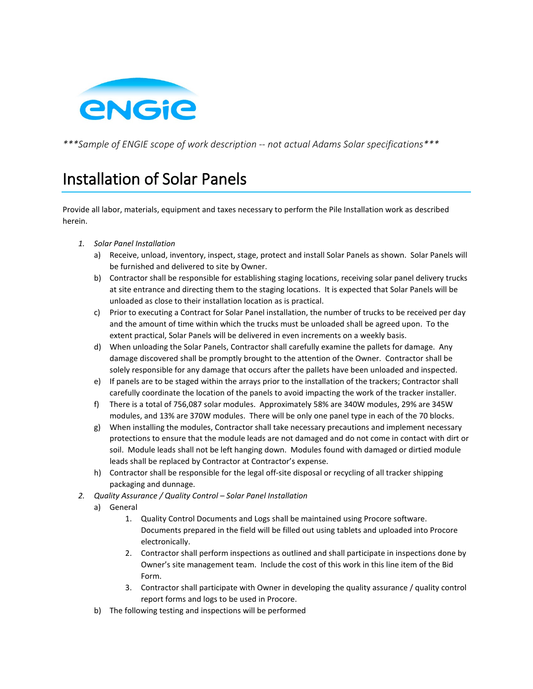

*\*\*\*Sample of ENGIE scope of work description -- not actual Adams Solar specifications\*\*\**

## Installation of Solar Panels

Provide all labor, materials, equipment and taxes necessary to perform the Pile Installation work as described herein.

- *1. Solar Panel Installation*
	- a) Receive, unload, inventory, inspect, stage, protect and install Solar Panels as shown. Solar Panels will be furnished and delivered to site by Owner.
	- b) Contractor shall be responsible for establishing staging locations, receiving solar panel delivery trucks at site entrance and directing them to the staging locations. It is expected that Solar Panels will be unloaded as close to their installation location as is practical.
	- c) Prior to executing a Contract for Solar Panel installation, the number of trucks to be received per day and the amount of time within which the trucks must be unloaded shall be agreed upon. To the extent practical, Solar Panels will be delivered in even increments on a weekly basis.
	- d) When unloading the Solar Panels, Contractor shall carefully examine the pallets for damage. Any damage discovered shall be promptly brought to the attention of the Owner. Contractor shall be solely responsible for any damage that occurs after the pallets have been unloaded and inspected.
	- e) If panels are to be staged within the arrays prior to the installation of the trackers; Contractor shall carefully coordinate the location of the panels to avoid impacting the work of the tracker installer.
	- f) There is a total of 756,087 solar modules. Approximately 58% are 340W modules, 29% are 345W modules, and 13% are 370W modules. There will be only one panel type in each of the 70 blocks.
	- g) When installing the modules, Contractor shall take necessary precautions and implement necessary protections to ensure that the module leads are not damaged and do not come in contact with dirt or soil. Module leads shall not be left hanging down. Modules found with damaged or dirtied module leads shall be replaced by Contractor at Contractor's expense.
	- h) Contractor shall be responsible for the legal off-site disposal or recycling of all tracker shipping packaging and dunnage.
- *2. Quality Assurance / Quality Control – Solar Panel Installation*
	- a) General
		- 1. Quality Control Documents and Logs shall be maintained using Procore software. Documents prepared in the field will be filled out using tablets and uploaded into Procore electronically.
		- 2. Contractor shall perform inspections as outlined and shall participate in inspections done by Owner's site management team. Include the cost of this work in this line item of the Bid Form.
		- 3. Contractor shall participate with Owner in developing the quality assurance / quality control report forms and logs to be used in Procore.
	- b) The following testing and inspections will be performed